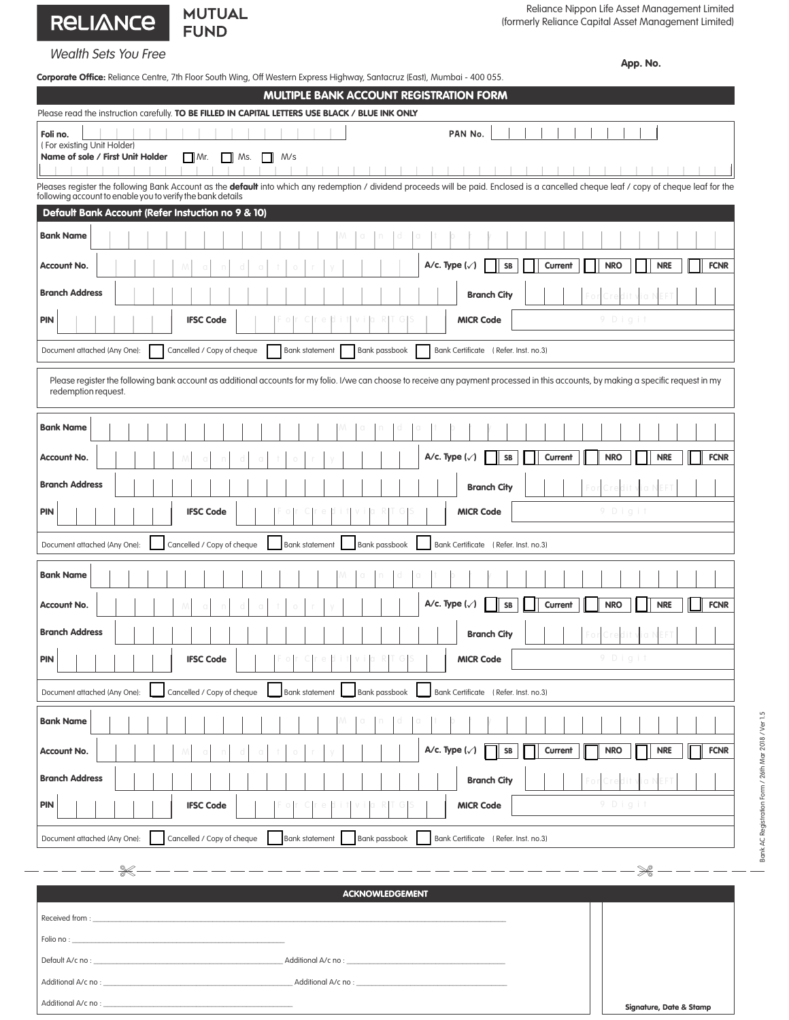## RELIANCE

## Wealth Sets You Free

|  | Corporate Office: Reliance Centre, 7th Floor South Wing, Off Western Express Highway, Santacruz (East), Mumbai - 400 055. |
|--|---------------------------------------------------------------------------------------------------------------------------|

**MUTUAL** 

**FUND** 

App. No.

| <b>Corporare Office:</b> Neilarde Centre, 7111 Noor Journ Wing, On Western Express Highway, Jamacruz (Easi), Mumbar - 400 0JJ.<br>MULTIPLE BANK ACCOUNT REGISTRATION FORM                                                                                     |
|---------------------------------------------------------------------------------------------------------------------------------------------------------------------------------------------------------------------------------------------------------------|
| Please read the instruction carefully. TO BE FILLED IN CAPITAL LETTERS USE BLACK / BLUE INK ONLY                                                                                                                                                              |
| Foli no.<br>PAN No.<br>(For existing Unit Holder)                                                                                                                                                                                                             |
| Name of sole / First Unit Holder<br>$\Box$ Mr.<br>Ms.<br>M/s                                                                                                                                                                                                  |
| Pleases register the following Bank Account as the <b>default</b> into which any redemption / dividend proceeds will be paid. Enclosed is a cancelled cheque leaf / copy of cheque leaf for the<br>following account to enable you to verify the bank details |
| Default Bank Account (Refer Instuction no 9 & 10)                                                                                                                                                                                                             |
| <b>Bank Name</b>                                                                                                                                                                                                                                              |
| A/c. Type $(\sqrt{})$<br><b>NRO</b><br><b>NRE</b><br><b>FCNR</b><br><b>Account No.</b><br>SB<br>Current                                                                                                                                                       |
| <b>Branch Address</b><br><b>Branch City</b>                                                                                                                                                                                                                   |
| 9 Digit<br><b>PIN</b><br><b>IFSC Code</b><br><b>MICR Code</b>                                                                                                                                                                                                 |
| Cancelled / Copy of cheque<br><b>Bank statement</b><br>Bank passbook<br>Document attached (Any One):<br>Bank Certificate (Refer. Inst. no.3)                                                                                                                  |
| Please register the following bank account as additional accounts for my folio. I/we can choose to receive any payment processed in this accounts, by making a specific request in my<br>redemption request.                                                  |
| <b>Bank Name</b>                                                                                                                                                                                                                                              |
| A/c. Type $(\sqrt{})$<br><b>NRO</b><br><b>NRE</b><br><b>FCNR</b><br>SB<br>Current<br>Account No.                                                                                                                                                              |
| <b>Branch Address</b><br><b>Branch City</b>                                                                                                                                                                                                                   |
| 9 Digit<br><b>PIN</b><br><b>IFSC Code</b><br><b>MICR Code</b>                                                                                                                                                                                                 |
| Cancelled / Copy of cheque<br>Bank passbook<br>Bank Certificate (Refer. Inst. no.3)<br>Document attached (Any One):<br><b>Bank statement</b>                                                                                                                  |
| <b>Bank Name</b>                                                                                                                                                                                                                                              |
| A/c. Type $(\sqrt{})$<br>SB<br>Current<br><b>NRO</b><br><b>NRE</b><br><b>FCNR</b><br>Account No.                                                                                                                                                              |
| <b>Branch Address</b><br><b>Branch City</b>                                                                                                                                                                                                                   |
| the contract of the contract of the<br><b>PIN</b><br><b>IFSC Code</b><br><b>MICR Code</b>                                                                                                                                                                     |
| Cancelled / Copy of cheque<br><b>Bank statement</b><br>Bank passbook<br>Bank Certificate (Refer. Inst. no.3)<br>Document attached (Any One):                                                                                                                  |
| <b>Bank Name</b>                                                                                                                                                                                                                                              |
| A/c. Type $(\checkmark)$<br>Current<br><b>NRE</b><br><b>FCNR</b><br>SB<br><b>NRO</b><br>Account No.                                                                                                                                                           |
| <b>Branch Address</b><br><b>Branch City</b>                                                                                                                                                                                                                   |
| 9 Digit<br>PIN<br><b>IFSC Code</b><br><b>MICR Code</b>                                                                                                                                                                                                        |
| Cancelled / Copy of cheque<br>Document attached (Any One):<br><b>Bank statement</b><br>Bank passbook<br>Bank Certificate (Refer. Inst. no.3)                                                                                                                  |

| <b>ACKNOWLEDGEMENT</b> |                         |  |  |  |
|------------------------|-------------------------|--|--|--|
|                        |                         |  |  |  |
|                        |                         |  |  |  |
|                        |                         |  |  |  |
|                        |                         |  |  |  |
|                        | Signature, Date & Stamp |  |  |  |

-------------